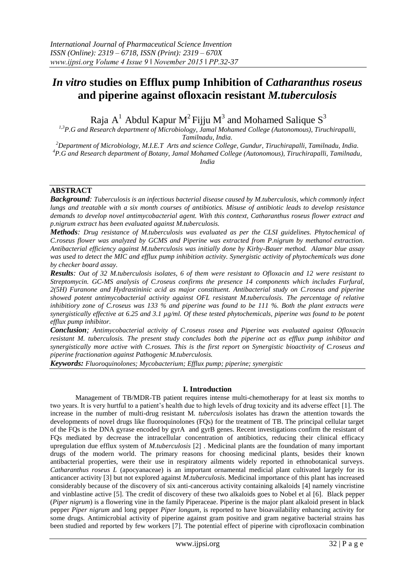# *In vitro* **studies on Efflux pump Inhibition of** *Catharanthus roseus* **and piperine against ofloxacin resistant** *M.tuberculosis*

Raja A<sup>1</sup> Abdul Kapur M<sup>2</sup> Fijju M<sup>3</sup> and Mohamed Salique S<sup>3</sup>

*1,3P.G and Research department of Microbiology, Jamal Mohamed College (Autonomous), Tiruchirapalli, Tamilnadu, India.*

*<sup>2</sup>Department of Microbiology, M.I.E.T Arts and science College, Gundur, Tiruchirapalli, Tamilnadu, India. <sup>4</sup>P.G and Research department of Botany, Jamal Mohamed College (Autonomous), Tiruchirapalli, Tamilnadu,* 

*India*

# **ABSTRACT**

*Background: Tuberculosis is an infectious bacterial disease caused by M.tuberculosis, which commonly infect lungs and treatable with a six month courses of antibiotics. Misuse of antibiotic leads to develop resistance demands to develop novel antimycobacterial agent. With this context, Catharanthus roseus flower extract and p.nigrum extract has been evaluated against M.tuberculosis.*

*Methods: Drug resistance of M.tuberculosis was evaluated as per the CLSI guidelines. Phytochemical of C.roseus flower was analyzed by GCMS and Piperine was extracted from P.nigrum by methanol extraction. Antibacterial efficiency against M.tuberculosis was initially done by Kirby-Bauer method. Alamar blue assay was used to detect the MIC and efflux pump inhibition activity. Synergistic activity of phytochemicals was done by checker board assay.* 

*Results: Out of 32 M.tuberculosis isolates, 6 of them were resistant to Ofloxacin and 12 were resistant to Streptomycin. GC-MS analysis of C.roseus confirms the presence 14 components which includes Furfural, 2(5H) Furanone and Hydrastininic acid as major constituent. Antibacterial study on C.roseus and piperine showed potent antimycobacterial activity against OFL resistant M.tuberculosis. The percentage of relative inhibitiory zone of C.roseus was 133 % and piperine was found to be 111 %. Both the plant extracts were synergistically effective at 6.25 and 3.1 µg/ml. Of these tested phytochemicals, piperine was found to be potent efflux pump inhibitor.*

*Conclusion; Antimycobacterial activity of C.roseus rosea and Piperine was evaluated against Ofloxacin resistant M. tuberculosis. The present study concludes both the piperine act as efflux pump inhibitor and synergistically more active with C.rosues. This is the first report on Synergistic bioactivity of C.roseus and piperine fractionation against Pathogenic M.tuberculosis.*

*Keywords: Fluoroquinolones; Mycobacterium; Efflux pump; piperine; synergistic*

## **I. Introduction**

Management of TB/MDR-TB patient requires intense multi-chemotherapy for at least six months to two years. It is very hurtful to a patient's health due to high levels of drug toxicity and its adverse effect [1]. The increase in the number of multi-drug resistant M*. tuberculosis* isolates has drawn the attention towards the developments of novel drugs like fluoroquinolones (FQs) for the treatment of TB. The principal cellular target of the FQs is the DNA gyrase encoded by gyrA and gyrB genes. Recent investigations confirm the resistant of FQs mediated by decrease the intracellular concentration of antibiotics, reducing their clinical efficacy upregulation due efflux system of *M.tuberculosis* [2] . Medicinal plants are the foundation of many important drugs of the modern world. The primary reasons for choosing medicinal plants, besides their known antibacterial properties, were their use in respiratory ailments widely reported in ethnobotanical surveys*. Catharanthus roseus L* (apocyanaceae) is an important ornamental medicial plant cultivated largely for its anticancer activity [3] but not explored against *M.tuberculosis*. Medicinal importance of this plant has increased considerably because of the discovery of six anti-cancerous activity containing alkaloids [4] namely vincristine and vinblastine active [5]. The credit of discovery of these two alkaloids goes to Nobel et al [6]. Black pepper (*Piper nigrum*) is a flowering vine in the family Piperaceae. Piperine is the major plant alkaloid present in black pepper *Piper nigrum* and long pepper *Piper longum*, is reported to have bioavailability enhancing activity for some drugs. Antimicrobial activity of piperine against gram positive and gram negative bacterial strains has been studied and reported by few workers [7]. The potential effect of piperine with ciprofloxacin combination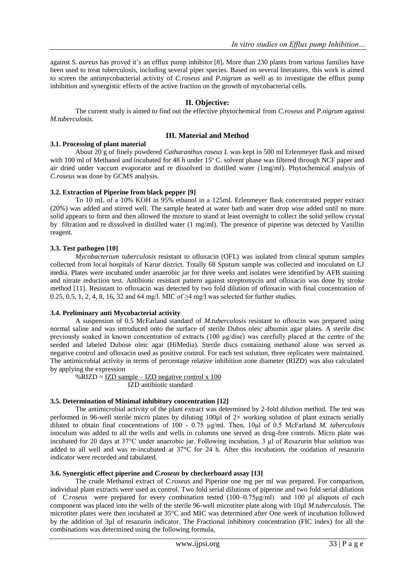against *S. aureus* has proved it's an efflux pump inhibitor [8]**.** More than 230 plants from various families have been used to treat tuberculosis, including several piper species. Based on several literatures, this work is aimed to screen the antimycobacterial activity of *C.roseus* and *P.nigrum* as well as to investigate the efflux pump inhibition and synergistic effects of the active fraction on the growth of mycobacterial cells.

# **II. Objective:**

The current study is aimed to find out the effective phytochemical from *C.roseus* and *P.nigrum* against *M.tuberculosis.*

## **III. Material and Method**

### **3.1. Processing of plant material**

About 20 g of finely powdered *Catharanthus roseus L* was kept in 500 ml Erlenmeyer flask and mixed with 100 ml of Methanol and incubated for 48 h under 15° C. solvent phase was filtered through NCF paper and air dried under vaccum evaporator and re dissolved in distilled water (1mg/ml). Phytochemical analysis of *C.roseus* was done by GCMS analysis.

## **3.2. Extraction of Piperine from black pepper [9]**

To 10 mL of a 10% KOH in 95% ethanol in a 125mL Erlenmeyer flask concentrated pepper extract (20%) was added and stirred well. The sample heated at water bath and water drop wise added until no more solid appears to form and then allowed the mixture to stand at least overnight to collect the solid yellow crystal by filtration and re dissolved in distilled water (1 mg/ml). The presence of piperine was detected by Vanillin reagent.

## **3.3. Test pathogen [10]**

*Mycobacterium tuberculosis* resistant to ofloxacin (OFL) was isolated from clinical sputum samples collected from local hospitals of Karur district. Totally 68 Sputum sample was collected and inoculated on LJ media. Plates were incubated under anaerobic jar for three weeks and isolates were identified by AFB staining and nitrate reduction test. Antibiotic resistant pattern against streptomycin and ofloxacin was done by stroke method [11]. Resistant to ofloxacin was detected by two fold dilution of ofloxacin with final concentration of 0.25, 0.5, 1, 2, 4, 8, 16, 32 and 64 mg/l. MIC of  $\geq$ 4 mg/l was selected for further studies.

#### **3.4. Preliminary anti Mycobacterial activity**

A suspension of 0.5 McFarland standard of *M.tuberculosis* resistant to ofloxcin was prepared using normal saline and was introduced onto the surface of sterile Dubos oleic albumin agar plates. A sterile disc previously soaked in known concentration of extracts (100  $\mu$ g/disc) was carefully placed at the centre of the seeded and labeled Dubose oleic agar (HiMedia). Sterile discs containing methanol alone was served as negative control and ofloxacin used as positive control. For each test solution, three replicates were maintained. The antimicrobial activity in terms of percentage relative inhibition zone diameter (RIZD) was also calculated by applying the expression

%RIZD =  $IZD sample – IZD negative control x 100$ </u> IZD antibiotic standard

## **3.5. Determination of Minimal inhibitory concentration [12]**

The antimicrobial activity of the plant extract was determined by 2-fold dilution method. The test was performed in 96-well sterile micro plates by diluting 100µl of 2× working solution of plant extracts serially diluted to obtain final concentrations of 100 - 0.75 μg/ml. Then, 10μl of 0.5 McFarland *M. tuberculosis* inoculum was added to all the wells and wells in columns one served as drug-free controls. Micro plate was incubated for 20 days at 37°C under anaerobic jar. Following incubation, 3 μl of Resazurin blue solution was added to all well and was re-incubated at 37°C for 24 h. After this incubation, the oxidation of resazurin indicator were recorded and tabulated.

#### **3.6. Synergistic effect piperine and** *C.roseus* **by checkerboard assay [13]**

The crude Methanol extract of *C.roseus* and Piperine one mg per ml was prepared. For comparison, individual plant extracts were used as control. Two fold serial dilutions of piperine and two fold serial dilutions of *C.roseus* were prepared for every combination tested (100–0.75μg/ml) and 100 μl aliquots of each component was placed into the wells of the sterile 96-well microtiter plate along with 10µl *M.tuberculosis*. The microtiter plates were then incubated at 35°C and MIC was determined after One week of incubation followed by the addition of 3µl of resazurin indicator. The Fractional inhibitory concentration (FIC index) for all the combinations was determined using the following formula,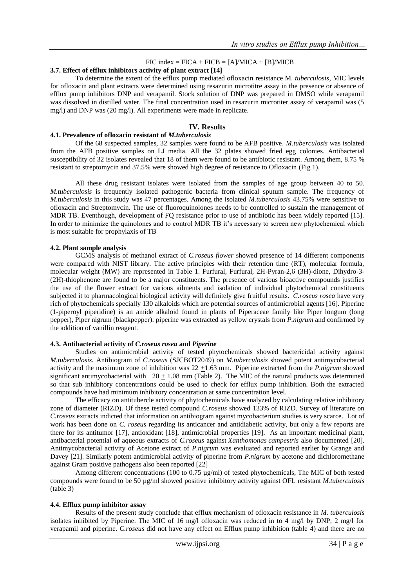# $FIC$  index =  $FICA + FICB = [A]/MICA + [B]/MICB$

## **3.7. Effect of efflux inhibitors activity of plant extract [14]**

To determine the extent of the efflux pump mediated ofloxacin resistance M*. tuberculosis*, MIC levels for ofloxacin and plant extracts were determined using resazurin microtitre assay in the presence or absence of efflux pump inhibitors DNP and verapamil. Stock solution of DNP was prepared in DMSO while verapamil was dissolved in distilled water. The final concentration used in resazurin microtiter assay of verapamil was (5 mg/l) and DNP was (20 mg/l). All experiments were made in replicate.

## **IV. Results**

### **4.1. Prevalence of ofloxacin resistant of** *M.tuberculosis*

Of the 68 suspected samples, 32 samples were found to be AFB positive. *M.tuberculosis* was isolated from the AFB positive samples on LJ media. All the 32 plates showed fried egg colonies. Antibacterial susceptibility of 32 isolates revealed that 18 of them were found to be antibiotic resistant. Among them, 8.75 % resistant to streptomycin and 37.5% were showed high degree of resistance to Ofloxacin (Fig 1).

All these drug resistant isolates were isolated from the samples of age group between 40 to 50. *M.tuberculosis* is frequently isolated pathogenic bacteria from clinical sputum sample. The frequency of *M.tuberculosis* in this study was 47 percentages. Among the isolated *M.tuberculosis* 43.75% were sensitive to ofloxacin and Streptomycin. The use of fluoroquinolones needs to be controlled to sustain the management of MDR TB. Eventhough, development of FQ resistance prior to use of antibiotic has been widely reported [15]. In order to minimize the quinolones and to control MDR TB it's necessary to screen new phytochemical which is most suitable for prophylaxis of TB

#### **4.2. Plant sample analysis**

GCMS analysis of methanol extract of *C.roseus flower* showed presence of 14 different components were compared with NIST library. The active principles with their retention time (RT), molecular formula, molecular weight (MW) are represented in Table 1. Furfural, Furfural, 2H-Pyran-2,6 (3H)-dione, Dihydro-3- (2H)-thiophenone are found to be a major constituents. The presence of various bioactive compounds justifies the use of the flower extract for various ailments and isolation of individual phytochemical constituents subjected it to pharmacological biological activity will definitely give fruitful results. *C.roseus rosea* have very rich of phytochemicals specially 130 alkaloids which are potential sources of antimicrobial agents [16]. Piperine (1-piperoyl piperidine) is an amide alkaloid found in plants of Piperaceae family like Piper longum (long pepper), Piper nigrum (blackpepper). piperine was extracted as yellow crystals from *P.nigrum* and confirmed by the addition of vanillin reagent.

#### **4.3. Antibacterial activity of** *C.roseus rosea* **and** *Piperine*

Studies on antimicrobial activity of tested phytochemicals showed bactericidal activity against *M.tuberculosis.* Antibiogram of *C.roseus* (SJCBOT2049) on *M.tuberculosis* showed potent antimycobacterial activity and the maximum zone of inhibition was 22 +1.63 mm. Piperine extracted from the *P.nigrum* showed significant antimycobacterial with  $20 + 1.08$  mm (Table 2). The MIC of the natural products was determined so that sub inhibitory concentrations could be used to check for efflux pump inhibition. Both the extracted compounds have had minimum inhibitory concentration at same concentration level.

The efficacy on antitubercle activity of phytochemicals have analyzed by calculating relative inhibitory zone of diameter (RIZD). Of these tested compound *C.roseus* showed 133% of RIZD. Survey of literature on *C.roseus* extracts indicted that information on antibiogram against mycobacterium studies is very scarce. Lot of work has been done on *C. roseus* regarding its anticancer and antidiabetic activity, but only a few reports are there for its antitumor [17], antioxidant [18], antimicrobial properties [19]. As an important medicinal plant, antibacterial potential of aqueous extracts of *C.roseus* against *Xanthomonas campestris* also documented [20]. Antimycobacterial activity of Acetone extract of *P.nigrum* was evaluated and reported earlier by Grange and Davey [21]. Similarly potent antimicrobial activity of piperine from *P.nigrum* by acetone and dichloromethane against Gram positive pathogens also been reported [22]

Among different concentrations (100 to 0.75 µg/ml) of tested phytochemicals, The MIC of both tested compounds were found to be 50 µg/ml showed positive inhibitory activity against OFL resistant *M.tuberculosis*  (table 3)

#### **4.4. Efflux pump inhibitor assay**

Results of the present study conclude that efflux mechanism of ofloxacin resistance in *M. tuberculosis* isolates inhibited by Piperine. The MIC of 16 mg/l ofloxacin was reduced in to 4 mg/l by DNP, 2 mg/l for verapamil and piperine. *C.roseus* did not have any effect on Efflux pump inhibition (table 4) and there are no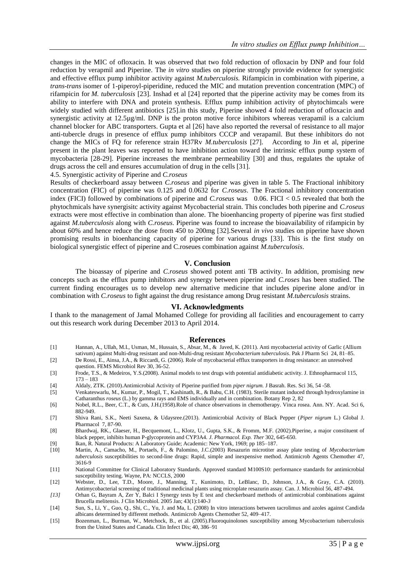changes in the MIC of ofloxacin. It was observed that two fold reduction of ofloxacin by DNP and four fold reduction by verapmil and Piperine. The *in vitro* studies on piperine strongly provide evidence for synergistic and effective efflux pump inhibitor activity against *M.tuberculosis.* Rifampicin in combination with piperine, a *trans*-*trans* isomer of 1-piperoyl-piperidine, reduced the MIC and mutation prevention concentration (MPC) of rifampicin for *M. tuberculosis* [23]. Inshad et al [24] reported that the piperine activity may be comes from its ability to interfere with DNA and protein synthesis. Efflux pump inhibition activity of phytochimcals were widely studied with different antibiotics [25].in this study, Piperine showed 4 fold reduction of ofloxacin and synergistic activity at 12.5µg/ml. DNP is the proton motive force inhibitors whereas verapamil is a calcium channel blocker for ABC transporters. Gupta et al [26] have also reported the reversal of resistance to all major anti-tubercle drugs in presence of efflux pump inhibitors CCCP and verapamil. But these inhibitors do not change the MICs of FQ for reference strain H37Rv *M.tuberculosis* [27]. According to Jin et al, piperine present in the plant leaves was reported to have inhibition action toward the intrinsic efflux pump system of mycobacteria [28-29]. Piperine increases the membrane permeability [30] and thus, regulates the uptake of drugs across the cell and ensures accumulation of drug in the cells [31].

4.5. Synergistic activity of Piperine and *C.roseus*

Results of checkerboard assay between *C.roseus* and piperine was given in table 5. The Fractional inhibitory concentration (FIC) of piperine was 0.125 and 0.0632 for *C.roseus*. The Fractional inhibitory concentration index (FICI) followed by combinations of piperine and *C.roseus* was 0.06. FICI < 0.5 revealed that both the phytochmicals have synergisitc activity against Mycobacterial strain. This concludes both piperine and *C.roseus*  extracts were most effective in combination than alone. The bioenhancing property of piperine was first studied against *M.tuberculosis* along with *C.roseus*. Piperine was found to increase the bioavailability of rifampicin by about 60% and hence reduce the dose from 450 to 200mg [32].Several *in vivo* studies on piperine have shown promising results in bioenhancing capacity of piperine for various drugs [33]. This is the first study on biological synergistic effect of piperine and C.roseues combination against *M.tuberculosis*.

#### **V. Conclusion**

The bioassay of piperine and *C.roseus* showed potent anti TB activity. In addition, promising new concepts such as the efflux pump inhibitors and synergy between piperine and *C.roses* has been studied. The current finding encourages us to develop new alternative medicine that includes piperine alone and/or in combination with *C.roseus* to fight against the drug resistance among Drug resistant *M.tuberculosis* strains.

#### **VI. Acknowledgments**

I thank to the management of Jamal Mohamed College for providing all facilities and encouragement to carry out this research work during December 2013 to April 2014.

#### **References**

- [1] Hannan, A., Ullah, M.I., Usman, M., Hussain, S., Absar, M., & Javed, K. (2011). Anti mycobacterial activity of Garlic (Allium sativum) against Multi-drug resistant and non-Multi-drug resistant *Mycobacterium tuberculosis*. Pak J Pharm Sci 24, 81–85.
- [2] De Rossi, E., Ainsa, J.A., & Riccardi, G. (2006). Role of mycobacterial efflux transporters in drug resistance: an unresolved question. FEMS Microbiol Rev 30, 36-52.
- [3] Frode, T.S., & Medeiros, Y.S.(2008). Animal models to test drugs with potential antidiabetic activity. J. Ethnopharmacol 115, 173 – 183
- [4] Aldaly, ZTK. (2010).Antimicrobial Activity of Piperine purified from *piper nigrum.* J Basrah. Res. Sci 36, 54 -58.
- [5] Venkateswarlu, M., Kumar, P., Mogil, T., Kashinath, R., & Babu, C.H. (1983). Sterile mutant induced through hydroxylamine in Catharanthus *roseus* (L.) by gamma rays and EMS individually and in combination. Botany Rep 2, 82
- [6] Nobel, R.L., Beer, C.T., & Cuts, J.H.(1958).Role of chance observations in chemotherapy. Vinca rosea. Ann. NY. Acad. Sci 6, 882-949.
- [7] Shiva Rani, S.K., Neeti Saxena, & Udaysree.(2013). Antimicrobial Activity of Black Pepper (*Piper nigrum* L.) Global J. Pharmacol 7, 87-90.
- [8] Bhardwaj, RK., Glaeser, H., Becquemont, L., Klotz, U., Gupta, S.K., & Fromm, M.F. (2002).Piperine, a major constituent of black pepper, inhibits human P-glycoprotein and CYP3A4*. J. Pharmacol. Exp. Ther* 302, 645-650.
- [9] Ikan, R. Natural Products: A Laboratory Guide; Academic: New York, 1969; pp 185–187.
- [10] Martin, A., Camacho, M., Portaels, F., & Palomino, J.C.(2003) Resazurin microtiter assay plate testing of *Mycobacterium tuberculosis* susceptibilities to second-line drugs: Rapid, simple and inexpensive method. Antimicrob Agents Chemother 47, 3616-9
- [11] National Committee for Clinical Laboratory Standards. Approved standard M100S10: performance standards for antimicrobial susceptibility testing. Wayne, PA: NCCLS, 2000
- [12] Webster, D., Lee, T.D., Moore, J., Manning, T., Kunimoto, D., LeBlanc, D., Johnson, J.A., & Gray, C.A. (2010). Antimycobacterial screening of traditional medicinal plants using microplate resazurin assay. Can. J. Microbiol 56, 487-494.
- *[13]* Orhan G, Bayram A, Zer Y, Balci I Synergy tests by E test and checkerboard methods of antimicrobial combinations against Brucella melitensis. J Clin Microbiol. 2005 Jan; 43(1):140-*3*
- [14] Sun, S., Li, Y., Guo, Q., Shi, C., Yu, J. and Ma, L. (2008) In vitro interactions between tacrolimus and azoles against Candida albicans determined by different methods. Antimicrob Agents Chemother 52, 409–417.
- [15] Bozenman, L., Burman, W., Metchock, B., et al. (2005).Fluoroquinolones susceptibility among Mycobacterium tuberculosis from the United States and Canada. Clin Infect Dis; 40, 386–91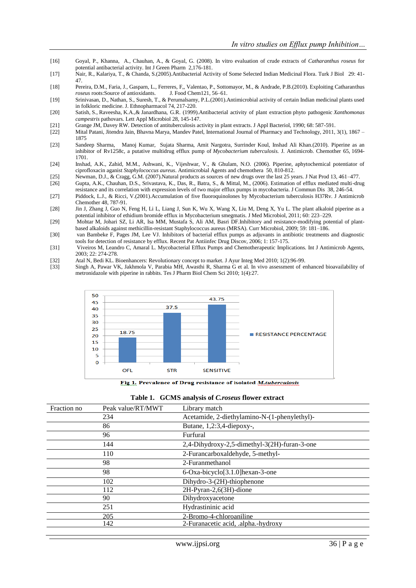- [16] Goyal, P., Khanna, A., Chauhan, A., & Goyal, G. (2008). In vitro evaluation of crude extracts of *Catharanthus roseus* for potential antibacterial activity. Int J Green Pharm 2,176-181.
- [17] Nair, R., Kalariya, T., & Chanda, S.(2005).Antibacterial Activity of Some Selected Indian Medicinal Flora. Turk J Biol 29: 41- 47.
- [18] Pereira, D.M., Faria, J., Gasparn, L., Ferreres, F,, Valentao, P., Sottomayor, M., & Andrade, P.B.(2010). Exploiting Catharanthus *roseus* roots:Source of antioxidants. J. Food Chem121, 56–61.
- [19] Srinivasan, D., Nathan, S., Suresh, T., & Perumalsamy, P.L.(2001).Antimicrobial activity of certain Indian medicinal plants used in folkloric medicine. J. Ethnopharmacol 74, 217-220.
- [20] Satish, S., Raveesha, K.A.,& Janardhana, G.R. (1999).Antibacterial activity of plant extraction phyto pathogenic *Xanthomonas campestris* pathovars*.* Lett Appl Microbiol 28, 145-147.
- [21] Grange JM, Davey RW. Detection of antituberculosis activity in plant extracts. J Appl Bacteriol, 1990; 68: 587-591.
- [22] Mital Patani, Jitendra Jain, Bhavna Marya, Mandev Patel, International Journal of Pharmacy and Technology, 2011, 3(1), 1867 1875
- [23] Sandeep Sharma, Manoj Kumar, Sujata Sharma, Amit Nargotra, Surrinder Koul, Inshad Ali Khan.(2010). Piperine as an inhibitor of Rv1258c, a putative multidrug efflux pump of *Mycobacterium tuberculosis.* J. Antimicrob. Chemother 65, 1694- 1701.
- [24] Inshad, A.K., Zahid, M.M., Ashwani, K., Vijeshwar, V., & Ghulam, N.O. (2006). Piperine, aphytochemical potentiator of ciprofloxacin aganist *Staphylococcus aureus*. Antimicrobial Agents and chemothera 50, 810-812.
- [25] Newman, D.J., & Cragg, G.M. (2007).Natural products as sources of new drugs over the last 25 years. J Nat Prod 13, 461–477.
- [26] Gupta, A.K., Chauhan, D.S., Srivastava, K., Das, R., Batra, S., & Mittal, M., (2006). Estimation of efflux mediated multi-drug resistance and its correlation with expression levels of two major efflux pumps in mycobacteria. J Commun Dis 38, 246-54.
- [27] Piddock, L.J., & Ricci, V.(2001).Accumulation of five fluoroquinolones by Mycobacterium tuberculosis H37Rv. J Antimicrob Chemother 48, 787-91.
- [28] Jin J, Zhang J, Guo N, Feng H, Li L, Liang J, Sun K, Wu X, Wang X, Liu M, Deng X, Yu L. The plant alkaloid piperine as a potential inhibitor of ethidium bromide efflux in Mycobacterium smegmatis. J Med Microbiol, 2011; 60: 223–229.
- [29] Mohtar M, Johari SZ, Li AR, Isa MM, Mustafa S, Ali AM, Basri DF.Inhibitory and resistance-modifying potential of plantbased alkaloids against methicillin-resistant Staphylococcus aureus (MRSA). Curr Microbiol, 2009; 59: 181–186.
- [30] van Bambeke F, Pages JM, Lee VJ. Inhibitors of bacterial efflux pumps as adjuvants in antibiotic treatments and diagnostic tools for detection of resistance by efflux. Recent Pat Antiinfec Drug Discov, 2006; 1: 157-175.
- [31] Viveiros M, Leandro C, Amaral L. Mycobacterial Efflux Pumps and Chemotherapeutic Implications. Int J Antimicrob Agents, 2003; 22: 274-278.
- [32] Atal N, Bedi KL. Bioenhancers: Revolutionary concept to market. J Ayur Integ Med 2010; 1(2):96-99.
- Singh A, Pawar VK, Jakhmola V, Parabia MH, Awasthi R, Sharma G et al. In vivo assessment of enhanced bioavailability of metronidazole with piperine in rabbits. Tes J Pharm Biol Chem Sci 2010; 1(4):27.



Fig 1. Prevalence of Drug resistance of isolated M.tuberculosis

|  | Table 1. GCMS analysis of <i>C.roseus</i> flower extract |  |  |  |
|--|----------------------------------------------------------|--|--|--|
|--|----------------------------------------------------------|--|--|--|

| Peak value/RT/MWT | Library match                                |
|-------------------|----------------------------------------------|
| 234               | Acetamide, 2-diethylamino-N-(1-phenylethyl)- |
| 86                | Butane, 1,2:3,4-diepoxy-,                    |
| 96                | Furfural                                     |
| 144               | 2,4-Dihydroxy-2,5-dimethyl-3(2H)-furan-3-one |
| 110               | 2-Furancarboxaldehyde, 5-methyl-             |
| 98                | 2-Furanmethanol                              |
| 98                | 6-Oxa-bicyclo[3.1.0] hexan-3-one             |
| 102               | Dihydro-3-(2H)-thiophenone                   |
| 112               | 2H-Pyran-2,6(3H)-dione                       |
| 90                | Dihydroxyacetone                             |
| 251               | Hydrastininic acid                           |
| 205               | 2-Bromo-4-chloroaniline                      |
| 142               | 2-Furanacetic acid, .alpha.-hydroxy          |
|                   |                                              |